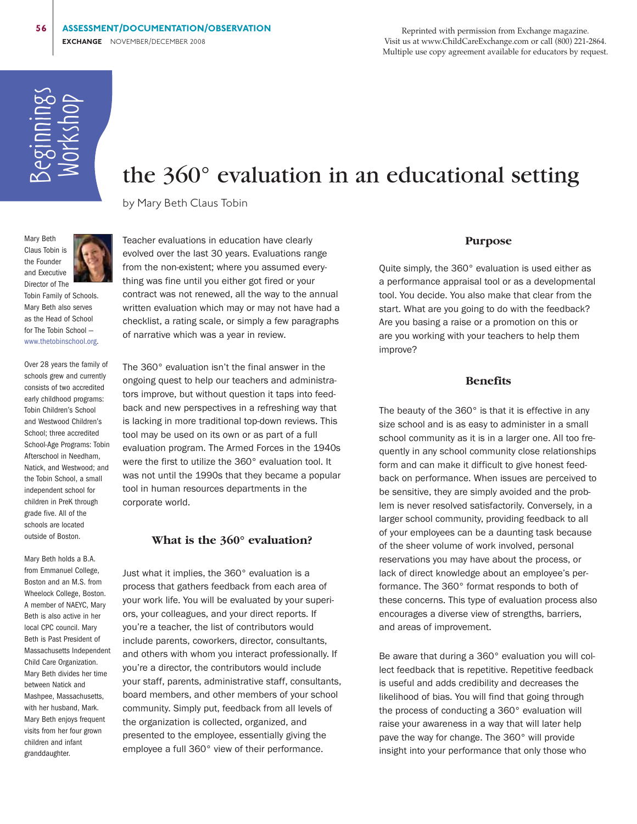Reprinted with permission from Exchange magazine. Visit us at www.ChildCareExchange.com or call (800) 221-2864. Multiple use copy agreement available for educators by request.



# the 360° evaluation in an educational setting

by Mary Beth Claus Tobin



Tobin Family of Schools. Mary Beth also serves as the Head of School for The Tobin School www.thetobinschool.org

Over 28 years the family of schools grew and currently consists of two accredited early childhood programs: Tobin Children's School and Westwood Children's School; three accredited School-Age Programs: Tobin Afterschool in Needham, Natick, and Westwood; and the Tobin School, a small independent school for children in PreK through grade five. All of the schools are located outside of Boston.

Mary Beth holds a B.A. from Emmanuel College, Boston and an M.S. from Wheelock College, Boston. A member of NAEYC, Mary Beth is also active in her local CPC council. Mary Beth is Past President of Massachusetts Independent Child Care Organization. Mary Beth divides her time between Natick and Mashpee, Massachusetts, with her husband, Mark. Mary Beth enjoys frequent visits from her four grown children and infant granddaughter.

Teacher evaluations in education have clearly evolved over the last 30 years. Evaluations range from the non-existent; where you assumed everything was fine until you either got fired or your contract was not renewed, all the way to the annual written evaluation which may or may not have had a checklist, a rating scale, or simply a few paragraphs of narrative which was a year in review.

The 360° evaluation isn't the final answer in the ongoing quest to help our teachers and administrators improve, but without question it taps into feedback and new perspectives in a refreshing way that is lacking in more traditional top-down reviews. This tool may be used on its own or as part of a full evaluation program. The Armed Forces in the 1940s were the first to utilize the 360° evaluation tool. It was not until the 1990s that they became a popular tool in human resources departments in the corporate world.

# **What is the 360° evaluation?**

Just what it implies, the 360° evaluation is a process that gathers feedback from each area of your work life. You will be evaluated by your superiors, your colleagues, and your direct reports. If you're a teacher, the list of contributors would include parents, coworkers, director, consultants, and others with whom you interact professionally. If you're a director, the contributors would include your staff, parents, administrative staff, consultants, board members, and other members of your school community. Simply put, feedback from all levels of the organization is collected, organized, and presented to the employee, essentially giving the employee a full 360° view of their performance.

#### **Purpose**

Quite simply, the 360° evaluation is used either as a performance appraisal tool or as a developmental tool. You decide. You also make that clear from the start. What are you going to do with the feedback? Are you basing a raise or a promotion on this or are you working with your teachers to help them improve?

#### **Benefits**

The beauty of the 360° is that it is effective in any size school and is as easy to administer in a small school community as it is in a larger one. All too frequently in any school community close relationships form and can make it difficult to give honest feedback on performance. When issues are perceived to be sensitive, they are simply avoided and the problem is never resolved satisfactorily. Conversely, in a larger school community, providing feedback to all of your employees can be a daunting task because of the sheer volume of work involved, personal reservations you may have about the process, or lack of direct knowledge about an employee's performance. The 360° format responds to both of these concerns. This type of evaluation process also encourages a diverse view of strengths, barriers, and areas of improvement.

Be aware that during a 360° evaluation you will collect feedback that is repetitive. Repetitive feedback is useful and adds credibility and decreases the likelihood of bias. You will find that going through the process of conducting a 360° evaluation will raise your awareness in a way that will later help pave the way for change. The 360° will provide insight into your performance that only those who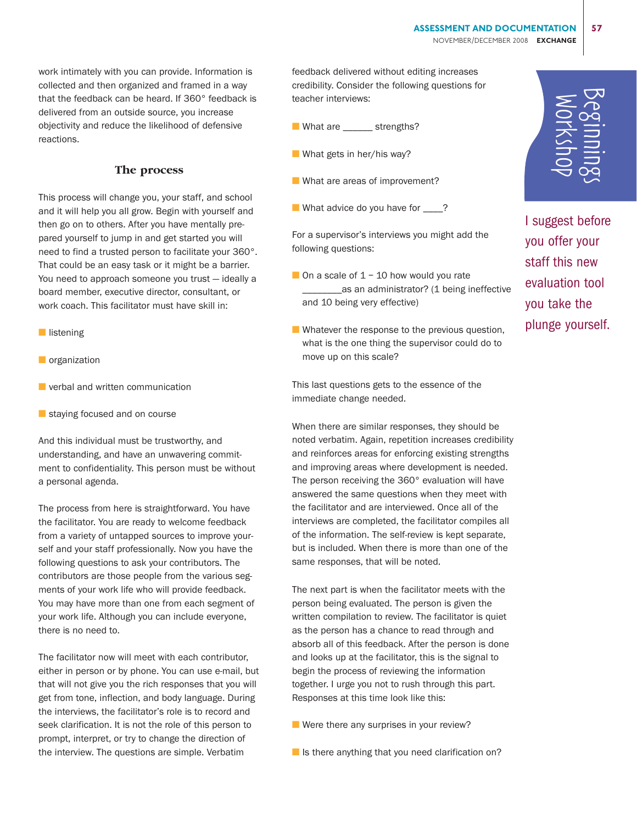work intimately with you can provide. Information is collected and then organized and framed in a way that the feedback can be heard. If 360° feedback is delivered from an outside source, you increase objectivity and reduce the likelihood of defensive reactions.

### **The process**

This process will change you, your staff, and school and it will help you all grow. Begin with yourself and then go on to others. After you have mentally prepared yourself to jump in and get started you will need to find a trusted person to facilitate your 360°. That could be an easy task or it might be a barrier. You need to approach someone you trust — ideally a board member, executive director, consultant, or work coach. This facilitator must have skill in:

- listening
- organization
- verbal and written communication
- staying focused and on course

And this individual must be trustworthy, and understanding, and have an unwavering commitment to confidentiality. This person must be without a personal agenda.

The process from here is straightforward. You have the facilitator. You are ready to welcome feedback from a variety of untapped sources to improve yourself and your staff professionally. Now you have the following questions to ask your contributors. The contributors are those people from the various segments of your work life who will provide feedback. You may have more than one from each segment of your work life. Although you can include everyone, there is no need to.

The facilitator now will meet with each contributor, either in person or by phone. You can use e-mail, but that will not give you the rich responses that you will get from tone, inflection, and body language. During the interviews, the facilitator's role is to record and seek clarification. It is not the role of this person to prompt, interpret, or try to change the direction of the interview. The questions are simple. Verbatim

feedback delivered without editing increases credibility. Consider the following questions for teacher interviews:

- What are \_\_\_\_\_\_ strengths?
- What gets in her/his way?
- What are areas of improvement?
- What advice do you have for \_\_\_\_?

For a supervisor's interviews you might add the following questions:

- On a scale of  $1 10$  how would you rate \_as an administrator? (1 being ineffective and 10 being very effective)
- Whatever the response to the previous question, what is the one thing the supervisor could do to move up on this scale?

This last questions gets to the essence of the immediate change needed.

When there are similar responses, they should be noted verbatim. Again, repetition increases credibility and reinforces areas for enforcing existing strengths and improving areas where development is needed. The person receiving the 360° evaluation will have answered the same questions when they meet with the facilitator and are interviewed. Once all of the interviews are completed, the facilitator compiles all of the information. The self-review is kept separate, but is included. When there is more than one of the same responses, that will be noted.

The next part is when the facilitator meets with the person being evaluated. The person is given the written compilation to review. The facilitator is quiet as the person has a chance to read through and absorb all of this feedback. After the person is done and looks up at the facilitator, this is the signal to begin the process of reviewing the information together. I urge you not to rush through this part. Responses at this time look like this:

- Were there any surprises in your review?
- $\blacksquare$  Is there anything that you need clarification on?

Workshop Beginnings

I suggest before you offer your staff this new evaluation tool you take the plunge yourself.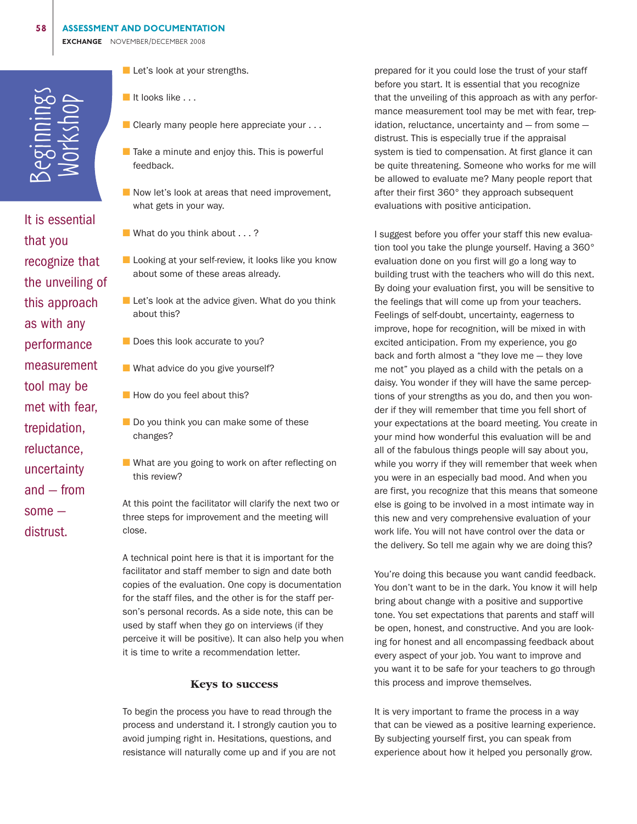

 $\frac{1}{2}$ <br>  $\frac{1}{2}$ <br>  $\frac{1}{2}$ <br>  $\frac{1}{2}$ <br>  $\frac{1}{2}$ <br>  $\frac{1}{2}$ <br>  $\frac{1}{2}$ <br>  $\frac{1}{2}$ <br>  $\frac{1}{2}$ <br>  $\frac{1}{2}$ <br>  $\frac{1}{2}$ <br>  $\frac{1}{2}$ <br>  $\frac{1}{2}$ <br>  $\frac{1}{2}$ <br>  $\frac{1}{2}$ <br>  $\frac{1}{2}$ <br>  $\frac{1}{2}$ <br>  $\frac{1}{2}$ <br>  $\frac{1}{2}$ <br>  $\frac{1}{2}$ <br> It is essential that you recognize that the unveiling of this approach as with any performance measurement tool may be met with fear, trepidation, reluctance, uncertainty and — from some distrust.

■ Let's look at your strengths.

- It looks like . . .
- Clearly many people here appreciate your . . .
- Take a minute and enjoy this. This is powerful feedback.
- Now let's look at areas that need improvement, what gets in your way.
- What do you think about . . . ?
- Looking at your self-review, it looks like you know about some of these areas already.
- Let's look at the advice given. What do you think about this?
- Does this look accurate to you?
- What advice do you give yourself?
- How do you feel about this?
- Do you think you can make some of these changes?
- What are you going to work on after reflecting on this review?

At this point the facilitator will clarify the next two or three steps for improvement and the meeting will close.

A technical point here is that it is important for the facilitator and staff member to sign and date both copies of the evaluation. One copy is documentation for the staff files, and the other is for the staff person's personal records. As a side note, this can be used by staff when they go on interviews (if they perceive it will be positive). It can also help you when it is time to write a recommendation letter.

#### **Keys to success**

To begin the process you have to read through the process and understand it. I strongly caution you to avoid jumping right in. Hesitations, questions, and resistance will naturally come up and if you are not

prepared for it you could lose the trust of your staff before you start. It is essential that you recognize that the unveiling of this approach as with any performance measurement tool may be met with fear, trepidation, reluctance, uncertainty and — from some distrust. This is especially true if the appraisal system is tied to compensation. At first glance it can be quite threatening. Someone who works for me will be allowed to evaluate me? Many people report that after their first 360° they approach subsequent evaluations with positive anticipation.

I suggest before you offer your staff this new evaluation tool you take the plunge yourself. Having a 360° evaluation done on you first will go a long way to building trust with the teachers who will do this next. By doing your evaluation first, you will be sensitive to the feelings that will come up from your teachers. Feelings of self-doubt, uncertainty, eagerness to improve, hope for recognition, will be mixed in with excited anticipation. From my experience, you go back and forth almost a "they love me — they love me not" you played as a child with the petals on a daisy. You wonder if they will have the same perceptions of your strengths as you do, and then you wonder if they will remember that time you fell short of your expectations at the board meeting. You create in your mind how wonderful this evaluation will be and all of the fabulous things people will say about you, while you worry if they will remember that week when you were in an especially bad mood. And when you are first, you recognize that this means that someone else is going to be involved in a most intimate way in this new and very comprehensive evaluation of your work life. You will not have control over the data or the delivery. So tell me again why we are doing this?

You're doing this because you want candid feedback. You don't want to be in the dark. You know it will help bring about change with a positive and supportive tone. You set expectations that parents and staff will be open, honest, and constructive. And you are looking for honest and all encompassing feedback about every aspect of your job. You want to improve and you want it to be safe for your teachers to go through this process and improve themselves.

It is very important to frame the process in a way that can be viewed as a positive learning experience. By subjecting yourself first, you can speak from experience about how it helped you personally grow.